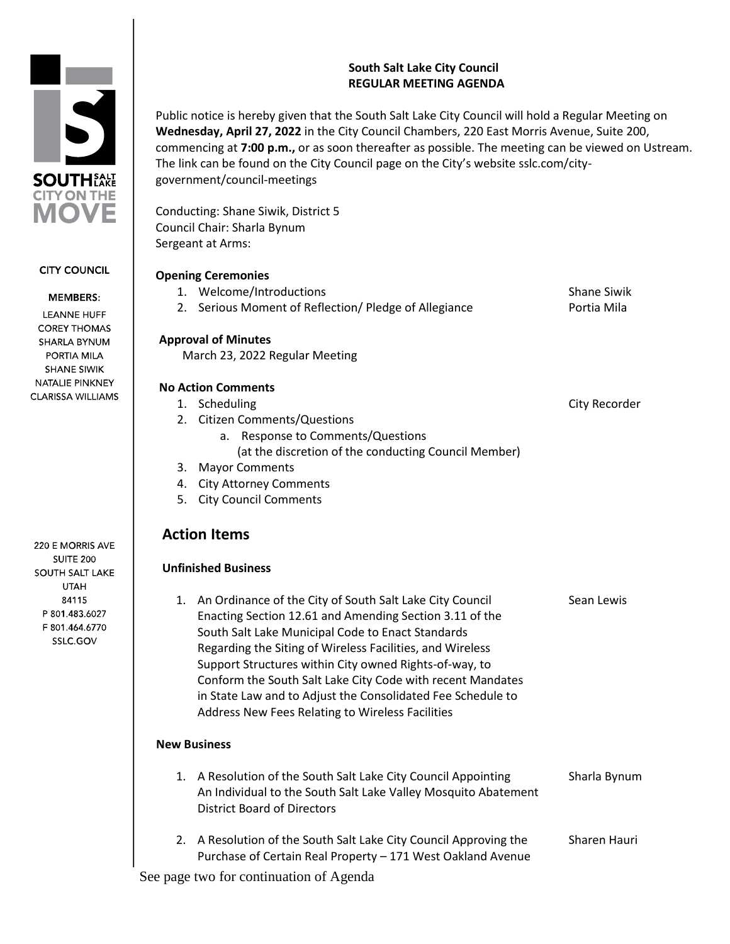# **South Salt Lake City Council REGULAR MEETING AGENDA**

Public notice is hereby given that the South Salt Lake City Council will hold a Regular Meeting on **Wednesday, April 27, 2022** in the City Council Chambers, 220 East Morris Avenue, Suite 200, commencing at **7:00 p.m.,** or as soon thereafter as possible. The meeting can be viewed on Ustream. The link can be found on the City Council page on the City's website sslc.com/citygovernment/council-meetings

Conducting: Shane Siwik, District 5 Council Chair: Sharla Bynum Sergeant at Arms:

#### **Opening Ceremonies**

|    | Opening ceremonies                                                                                                                                                                                                                                                                                                                                                                                                                                                                  |                    |
|----|-------------------------------------------------------------------------------------------------------------------------------------------------------------------------------------------------------------------------------------------------------------------------------------------------------------------------------------------------------------------------------------------------------------------------------------------------------------------------------------|--------------------|
|    | 1. Welcome/Introductions                                                                                                                                                                                                                                                                                                                                                                                                                                                            | <b>Shane Siwik</b> |
|    | 2. Serious Moment of Reflection/ Pledge of Allegiance                                                                                                                                                                                                                                                                                                                                                                                                                               | Portia Mila        |
|    | <b>Approval of Minutes</b>                                                                                                                                                                                                                                                                                                                                                                                                                                                          |                    |
|    | March 23, 2022 Regular Meeting                                                                                                                                                                                                                                                                                                                                                                                                                                                      |                    |
|    | <b>No Action Comments</b>                                                                                                                                                                                                                                                                                                                                                                                                                                                           |                    |
|    | 1. Scheduling                                                                                                                                                                                                                                                                                                                                                                                                                                                                       | City Recorder      |
|    | 2. Citizen Comments/Questions                                                                                                                                                                                                                                                                                                                                                                                                                                                       |                    |
|    | <b>Response to Comments/Questions</b><br>а.                                                                                                                                                                                                                                                                                                                                                                                                                                         |                    |
|    | (at the discretion of the conducting Council Member)                                                                                                                                                                                                                                                                                                                                                                                                                                |                    |
| 3. | <b>Mayor Comments</b>                                                                                                                                                                                                                                                                                                                                                                                                                                                               |                    |
| 4. | <b>City Attorney Comments</b>                                                                                                                                                                                                                                                                                                                                                                                                                                                       |                    |
| 5. | <b>City Council Comments</b>                                                                                                                                                                                                                                                                                                                                                                                                                                                        |                    |
|    |                                                                                                                                                                                                                                                                                                                                                                                                                                                                                     |                    |
|    | <b>Action Items</b>                                                                                                                                                                                                                                                                                                                                                                                                                                                                 |                    |
|    | <b>Unfinished Business</b>                                                                                                                                                                                                                                                                                                                                                                                                                                                          |                    |
|    | 1. An Ordinance of the City of South Salt Lake City Council<br>Enacting Section 12.61 and Amending Section 3.11 of the<br>South Salt Lake Municipal Code to Enact Standards<br>Regarding the Siting of Wireless Facilities, and Wireless<br>Support Structures within City owned Rights-of-way, to<br>Conform the South Salt Lake City Code with recent Mandates<br>in State Law and to Adjust the Consolidated Fee Schedule to<br>Address New Fees Relating to Wireless Facilities | Sean Lewis         |
|    | <b>New Business</b>                                                                                                                                                                                                                                                                                                                                                                                                                                                                 |                    |
|    | 1. A Resolution of the South Salt Lake City Council Appointing                                                                                                                                                                                                                                                                                                                                                                                                                      | Sharla Bynum       |

An Individual to the South Salt Lake Valley Mosquito Abatement District Board of Directors 2. A Resolution of the South Salt Lake City Council Approving the Sharen Hauri Purchase of Certain Real Property – 171 West Oakland Avenue

See page two for continuation of Agenda

220 E MORRIS AVE **SUITE 200 SOUTH SALT LAKE UTAH** 84115 P 801.483.6027 F 801.464.6770 SSLC.GOV



**CITY COUNCIL** 

#### **MEMBERS:**

**LEANNE HUFF COREY THOMAS** SHARLA BYNUM PORTIA MILA **SHANE SIWIK** NATALIE PINKNEY **CLARISSA WILLIAMS**